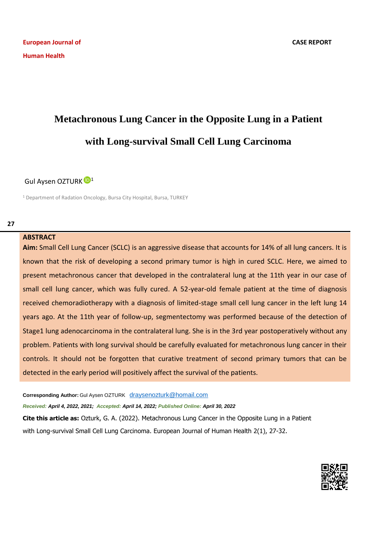# **Metachronous Lung Cancer in the Opposite Lung in a Patient with Long-survival Small Cell Lung Carcinoma**

## Gul Aysen OZTURK<sup>D[1](https://orcid.org/0000-0001-7730-2929)</sup>

<sup>1</sup> Department of Radation Oncology, Bursa City Hospital, Bursa, TURKEY

### **ABSTRACT**

**Aim:** Small Cell Lung Cancer (SCLC) is an aggressive disease that accounts for 14% of all lung cancers. It is known that the risk of developing a second primary tumor is high in cured SCLC. Here, we aimed to present metachronous cancer that developed in the contralateral lung at the 11th year in our case of small cell lung cancer, which was fully cured. A 52-year-old female patient at the time of diagnosis received chemoradiotherapy with a diagnosis of limited-stage small cell lung cancer in the left lung 14 years ago. At the 11th year of follow-up, segmentectomy was performed because of the detection of Stage1 lung adenocarcinoma in the contralateral lung. She is in the 3rd year postoperatively without any problem. Patients with long survival should be carefully evaluated for metachronous lung cancer in their controls. It should not be forgotten that curative treatment of second primary tumors that can be detected in the early period will positively affect the survival of the patients.

**Corresponding Author:** Gul Aysen OZTURK [draysenozturk@homail.com](mailto:draysenozturk@homail.com)

*Received: April 4, 2022, 2021; Accepted: April 14, 2022; Published Online: April 30, 2022*

**Cite this article as:** Ozturk, G. A. (2022). Metachronous Lung Cancer in the Opposite Lung in a Patient with Long-survival Small Cell Lung Carcinoma. European Journal of Human Health 2(1), 27-32.

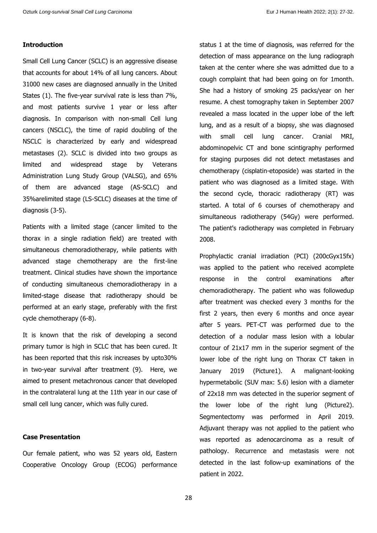### **Introduction**

Small Cell Lung Cancer (SCLC) is an aggressive disease that accounts for about 14% of all lung cancers. About 31000 new cases are diagnosed annually in the United States (1). The five-year survival rate is less than 7%, and most patients survive 1 year or less after diagnosis. In comparison with non-small Cell lung cancers (NSCLC), the time of rapid doubling of the NSCLC is characterized by early and widespread metastases (2). SCLC is divided into two groups as limited and widespread stage by Veterans Administration Lung Study Group (VALSG), and 65% of them are advanced stage (AS-SCLC) and 35%arelimited stage (LS-SCLC) diseases at the time of diagnosis (3-5).

Patients with a limited stage (cancer limited to the thorax in a single radiation field) are treated with simultaneous chemoradiotherapy, while patients with advanced stage chemotherapy are the first-line treatment. Clinical studies have shown the importance of conducting simultaneous chemoradiotherapy in a limited-stage disease that radiotherapy should be performed at an early stage, preferably with the first cycle chemotherapy (6-8).

It is known that the risk of developing a second primary tumor is high in SCLC that has been cured. It has been reported that this risk increases by upto30% in two-year survival after treatment (9). Here, we aimed to present metachronous cancer that developed in the contralateral lung at the 11th year in our case of small cell lung cancer, which was fully cured.

### **Case Presentation**

Our female patient, who was 52 years old, Eastern Cooperative Oncology Group (ECOG) performance status 1 at the time of diagnosis, was referred for the detection of mass appearance on the lung radiograph taken at the center where she was admitted due to a cough complaint that had been going on for 1month. She had a history of smoking 25 packs/year on her resume. A chest tomography taken in September 2007 revealed a mass located in the upper lobe of the left lung, and as a result of a biopsy, she was diagnosed with small cell lung cancer. Cranial MRI, abdominopelvic CT and bone scintigraphy performed for staging purposes did not detect metastases and chemotherapy (cisplatin-etoposide) was started in the patient who was diagnosed as a limited stage. With the second cycle, thoracic radiotherapy (RT) was started. A total of 6 courses of chemotherapy and simultaneous radiotherapy (54Gy) were performed. The patient's radiotherapy was completed in February 2008.

Prophylactic cranial irradiation (PCI) (200cGyx15fx) was applied to the patient who received acomplete response in the control examinations after chemoradiotherapy. The patient who was followedup after treatment was checked every 3 months for the first 2 years, then every 6 months and once ayear after 5 years. PET-CT was performed due to the detection of a nodular mass lesion with a lobular contour of 21x17 mm in the superior segment of the lower lobe of the right lung on Thorax CT taken in January 2019 (Picture1). A malignant-looking hypermetabolic (SUV max: 5.6) lesion with a diameter of 22x18 mm was detected in the superior segment of the lower lobe of the right lung (Picture2). Segmentectomy was performed in April 2019. Adjuvant therapy was not applied to the patient who was reported as adenocarcinoma as a result of pathology. Recurrence and metastasis were not detected in the last follow-up examinations of the patient in 2022.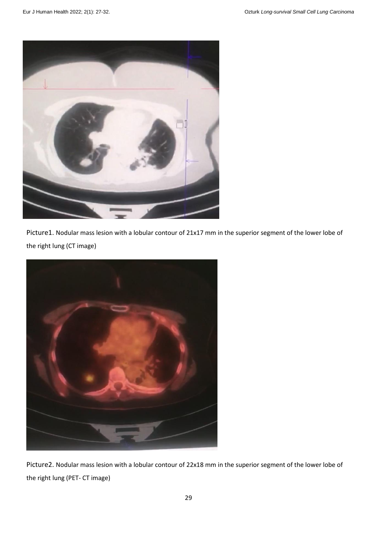

Picture1. Nodular mass lesion with a lobular contour of 21x17 mm in the superior segment of the lower lobe of the right lung (CT image)



Picture2. Nodular mass lesion with a lobular contour of 22x18 mm in the superior segment of the lower lobe of the right lung (PET- CT image)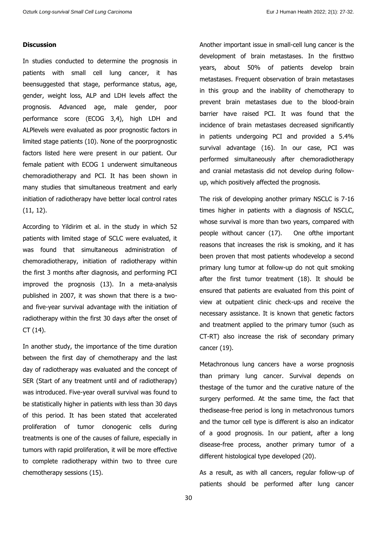#### **Discussion**

In studies conducted to determine the prognosis in patients with small cell lung cancer, it has beensuggested that stage, performance status, age, gender, weight loss, ALP and LDH levels affect the prognosis. Advanced age, male gender, poor performance score (ECOG 3,4), high LDH and ALPlevels were evaluated as poor prognostic factors in limited stage patients (10). None of the poorprognostic factors listed here were present in our patient. Our female patient with ECOG 1 underwent simultaneous chemoradiotherapy and PCI. It has been shown in many studies that simultaneous treatment and early initiation of radiotherapy have better local control rates (11, 12).

According to Yildirim et al. in the study in which 52 patients with limited stage of SCLC were evaluated, it was found that simultaneous administration of chemoradiotherapy, initiation of radiotherapy within the first 3 months after diagnosis, and performing PCI improved the prognosis (13). In a meta-analysis published in 2007, it was shown that there is a twoand five-year survival advantage with the initiation of radiotherapy within the first 30 days after the onset of CT (14).

In another study, the importance of the time duration between the first day of chemotherapy and the last day of radiotherapy was evaluated and the concept of SER (Start of any treatment until and of radiotherapy) was introduced. Five-year overall survival was found to be statistically higher in patients with less than 30 days of this period. It has been stated that accelerated proliferation of tumor clonogenic cells during treatments is one of the causes of failure, especially in tumors with rapid proliferation, it will be more effective to complete radiotherapy within two to three cure chemotherapy sessions (15).

Another important issue in small-cell lung cancer is the development of brain metastases. In the firsttwo years, about 50% of patients develop brain metastases. Frequent observation of brain metastases in this group and the inability of chemotherapy to prevent brain metastases due to the blood-brain barrier have raised PCI. It was found that the incidence of brain metastases decreased significantly in patients undergoing PCI and provided a 5.4% survival advantage (16). In our case, PCI was performed simultaneously after chemoradiotherapy and cranial metastasis did not develop during followup, which positively affected the prognosis.

The risk of developing another primary NSCLC is 7-16 times higher in patients with a diagnosis of NSCLC, whose survival is more than two years, compared with people without cancer (17). One ofthe important reasons that increases the risk is smoking, and it has been proven that most patients whodevelop a second primary lung tumor at follow-up do not quit smoking after the first tumor treatment (18). It should be ensured that patients are evaluated from this point of view at outpatient clinic check-ups and receive the necessary assistance. It is known that genetic factors and treatment applied to the primary tumor (such as CT-RT) also increase the risk of secondary primary cancer (19).

Metachronous lung cancers have a worse prognosis than primary lung cancer. Survival depends on thestage of the tumor and the curative nature of the surgery performed. At the same time, the fact that thedisease-free period is long in metachronous tumors and the tumor cell type is different is also an indicator of a good prognosis. In our patient, after a long disease-free process, another primary tumor of a different histological type developed (20).

As a result, as with all cancers, regular follow-up of patients should be performed after lung cancer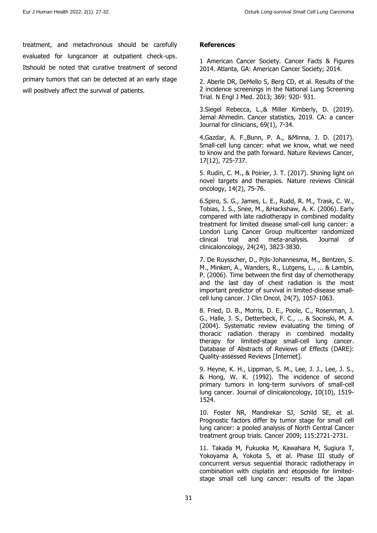treatment, and metachronous should be carefully evaluated for lungcancer at outpatient check-ups. Itshould be noted that curative treatment of second primary tumors that can be detected at an early stage will positively affect the survival of patients.

#### **References**

1 American Cancer Society. Cancer Facts & Figures 2014. Atlanta, GA: American Cancer Society; 2014.

2. Aberle DR, DeMello S, Berg CD, et al. Results of the 2 incidence screenings in the National Lung Screening Trial. N Engl J Med. 2013; 369: 920- 931.

3.Siegel Rebecca, L.,& Miller Kimberly, D. (2019). Jemal Ahmedin. Cancer statistics, 2019. CA: a cancer Journal for clinicians, 69(1), 7-34.

4.Gazdar, A. F.,Bunn, P. A., &Minna, J. D. (2017). Small-cell lung cancer: what we know, what we need to know and the path forward. Nature Reviews Cancer, 17(12), 725-737.

5. Rudin, C. M., & Poirier, J. T. (2017). Shining light on novel targets and therapies. Nature reviews Clinical oncology, 14(2), 75-76.

6.Spiro, S. G., James, L. E., Rudd, R. M., Trask, C. W., Tobias, J. S., Snee, M., &Hackshaw, A. K. (2006). Early compared with late radiotherapy in combined modality treatment for limited disease small-cell lung cancer: a London Lung Cancer Group multicenter randomized clinical trial and meta-analysis. Journal of clinicaloncology, 24(24), 3823-3830.

7. De Ruysscher, D., Pijls-Johannesma, M., Bentzen, S. M., Minken, A., Wanders, R., Lutgens, L., ... & Lambin, P. (2006). Time between the first day of chemotherapy and the last day of chest radiation is the most important predictor of survival in limited-disease smallcell lung cancer. J Clin Oncol, 24(7), 1057-1063.

8. Fried, D. B., Morris, D. E., Poole, C., Rosenman, J. G., Halle, J. S., Detterbeck, F. C., ... & Socinski, M. A. (2004). Systematic review evaluating the timing of thoracic radiation therapy in combined modality therapy for limited-stage small-cell lung cancer. Database of Abstracts of Reviews of Effects (DARE): Quality-assessed Reviews [Internet].

9. Heyne, K. H., Lippman, S. M., Lee, J. J., Lee, J. S., & Hong, W. K. (1992). The incidence of second primary tumors in long-term survivors of small-cell lung cancer. Journal of clinicaloncology, 10(10), 1519- 1524.

10. Foster NR, Mandrekar SJ, Schild SE, et al. Prognostic factors differ by tumor stage for small cell lung cancer: a pooled analysis of North Central Cancer treatment group trials. Cancer 2009; 115:2721-2731.

11. Takada M, Fukuoka M, Kawahara M, Sugiura T, Yokoyama A, Yokota S, et al. Phase III study of concurrent versus sequential thoracic radiotherapy in combination with cisplatin and etoposide for limitedstage small cell lung cancer: results of the Japan